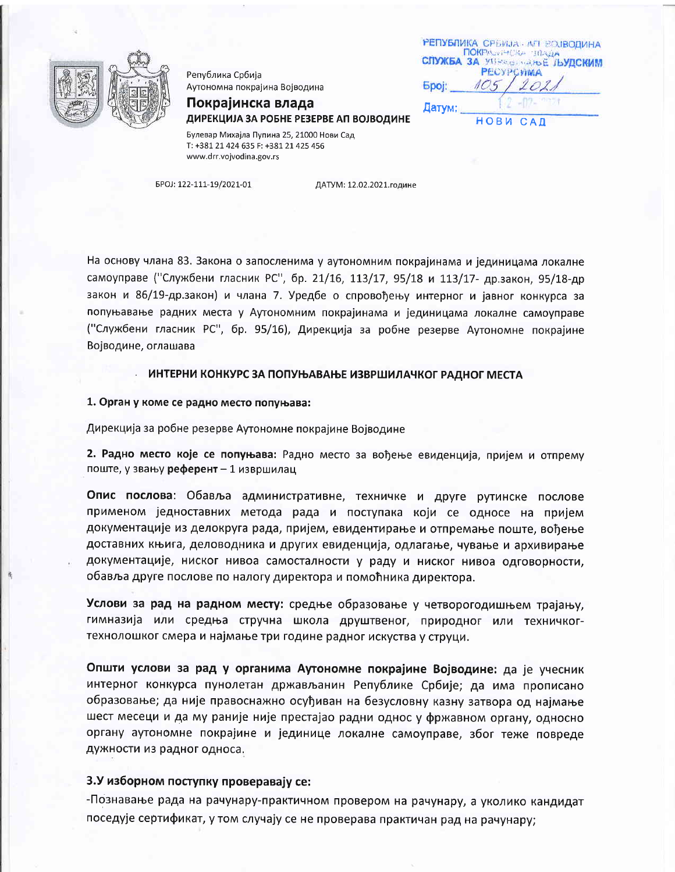

Република Србија Аутономна покрајина Војводина Покрајинска влада

|              | <b>РЕПУБЛИКА С</b> РЕЖЈА - АП ВОЈВОДИНА                                    |
|--------------|----------------------------------------------------------------------------|
|              | ПОКРАЗНЕКА ЗПАДА<br><b>СЛУЖБА ЗА УПРАВЛЯЮЕ ЉУДСКИМ</b><br><b>PECYPCWMA</b> |
| <b>Spoj:</b> |                                                                            |
| Датум:       |                                                                            |
|              | НОВИ САД                                                                   |

ДИРЕКЦИЈА ЗА РОБНЕ РЕЗЕРВЕ АП ВОЈВОДИНЕ

Булевар Михајла Пупина 25, 21000 Нови Сад T: +381 21 424 635 F: +381 21 425 456 www.drr.vojvodina.gov.rs

EPOJ: 122-111-19/2021-01

ДАТУМ: 12.02.2021.године

На основу члана 83. Закона о запосленима у аутономним покрајинама и јединицама локалне самоуправе ("Службени гласник РС", бр. 21/16, 113/17, 95/18 и 113/17- др.закон, 95/18-др закон и 86/19-др.закон) и члана 7. Уредбе о спровођењу интерног и јавног конкурса за попуњавање радних места у Аутономним покрајинама и јединицама локалне самоуправе ("Службени гласник РС", бр. 95/16), Дирекција за робне резерве Аутономне покрајине Војводине, оглашава

### ИНТЕРНИ КОНКУРС ЗА ПОПУЊАВАЊЕ ИЗВРШИЛАЧКОГ РАДНОГ МЕСТА

#### 1. Орган у коме се радно место попуњава:

Дирекција за робне резерве Аутономне покрајине Војводине

2. Радно место које се попуњава: Радно место за вођење евиденција, пријем и отпрему поште, у звању референт - 1 извршилац

Опис послова: Обавља административне, техничке и друге рутинске послове применом једноставних метода рада и поступака који се односе на пријем документације из делокруга рада, пријем, евидентирање и отпремање поште, вођење доставних књига, деловодника и других евиденција, одлагање, чување и архивирање документације, ниског нивоа самосталности у раду и ниског нивоа одговорности, обавља друге послове по налогу директора и помоћника директора.

Услови за рад на радном месту: средње образовање у четворогодишњем трајању, гимназија или средња стручна школа друштвеног, природног или техничкогтехнолошког смера и најмање три године радног искуства у струци.

Општи услови за рад у органима Аутономне покрајине Војводине: да је учесник интерног конкурса пунолетан држављанин Републике Србије; да има прописано образовање; да није правоснажно осуђиван на безусловну казну затвора од најмање шест месеци и да му раније није престајао радни однос у фржавном органу, односно органу аутономне покрајине и јединице локалне самоуправе, због теже повреде дужности из радног односа.

# 3.У изборном поступку проверавају се:

-Познавање рада на рачунару-практичном провером на рачунару, а уколико кандидат поседује сертификат, у том случају се не проверава практичан рад на рачунару;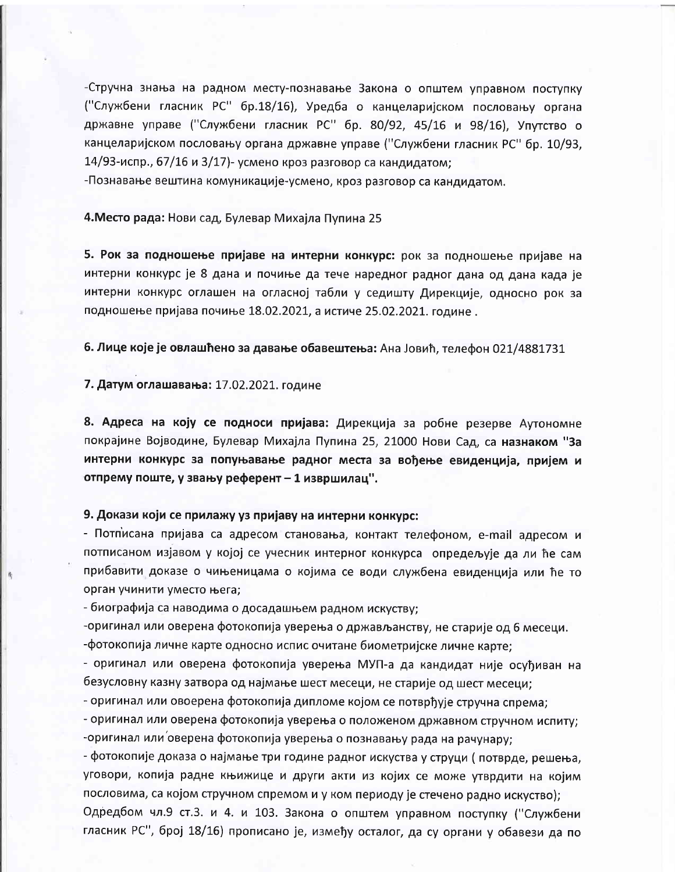-Стручна знања на радном месту-познавање Закона о општем управном поступку ("Службени гласник РС" бр.18/16), Уредба о канцеларијском пословању органа државне управе ("Службени гласник РС" бр. 80/92, 45/16 и 98/16). Упутство о канцеларијском пословању органа државне управе ("Службени гласник РС" бр. 10/93, 14/93-испр., 67/16 и 3/17)- усмено кроз разговор са кандидатом;

-Познавање вештина комуникације-усмено, кроз разговор са кандидатом.

## 4. Место рада: Нови сад, Булевар Михајла Пупина 25

5. Рок за подношење пријаве на интерни конкурс: рок за подношење пријаве на интерни конкурс је 8 дана и почиње да тече наредног радног дана од дана када је интерни конкурс оглашен на огласној табли у седишту Дирекције, односно рок за подношење пријава почиње 18.02.2021, а истиче 25.02.2021. године.

6. Лице које је овлашћено за давање обавештења: Ана Јовић, телефон 021/4881731

## 7. Датум оглашавања: 17.02.2021. године

8. Адреса на коју се подноси пријава: Дирекција за робне резерве Аутономне покрајине Војводине, Булевар Михајла Пупина 25, 21000 Нови Сад, са назнаком "За интерни конкурс за попуњавање радног места за вођење евиденција, пријем и отпрему поште, у звању референт - 1 извршилац".

# 9. Докази који се прилажу уз пријаву на интерни конкурс:

- Потписана пријава са адресом становања, контакт телефоном, e-mail адресом и потписаном изјавом у којој се учесник интерног конкурса опредељује да ли ће сам прибавити доказе о чињеницама о којима се води службена евиденција или ће то орган учинити уместо њега;

- биографија са наводима о досадашњем радном искуству;

-оригинал или оверена фотокопија уверења о држављанству, не старије од 6 месеци. -фотокопија личне карте односно испис очитане биометријске личне карте;

- оригинал или оверена фотокопија уверења МУП-а да кандидат није осуђиван на безусловну казну затвора од најмање шест месеци, не старије од шест месеци;

- оригинал или овоерена фотокопија дипломе којом се потврђује стручна спрема;

- оригинал или оверена фотокопија уверења о положеном државном стручном испиту; -оригинал или оверена фотокопија уверења о познавању рада на рачунару;

- фотокопије доказа о најмање три године радног искуства у струци (потврде, решења, уговори, копија радне књижице и други акти из којих се може утврдити на којим пословима, са којом стручном спремом и у ком периоду је стечено радно искуство);

Одредбом чл.9 ст.3. и 4. и 103. Закона о општем управном поступку ("Службени гласник РС", број 18/16) прописано је, између осталог, да су органи у обавези да по